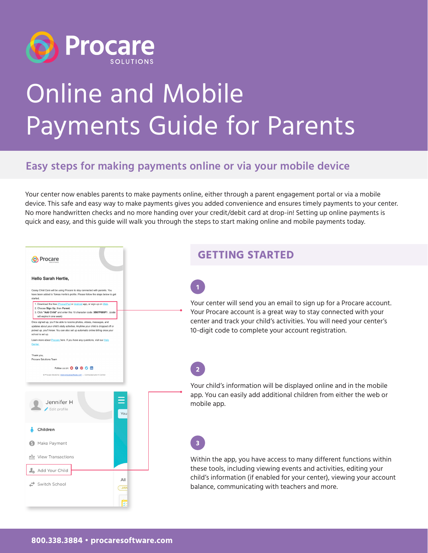

 $\overline{a}$ 

# Online and Mobile Payments Guide for Parents

### **Easy steps for making payments online or via your mobile device**

Your center now enables parents to make payments online, either through a parent engagement portal or via a mobile device. This safe and easy way to make payments gives you added convenience and ensures timely payments to your center. No more handwritten checks and no more handing over your credit/debit card at drop-in! Setting up online payments is quick and easy, and this guide will walk you through the steps to start making online and mobile payments today.

| Procare                                                                                                                                                                                                                                                                                                                                                                                                                                                                                                                                                                                                                                                                                                                                                                                  | <b>GETTING STARTED</b>                                                                                                                                                                                                                                                   |
|------------------------------------------------------------------------------------------------------------------------------------------------------------------------------------------------------------------------------------------------------------------------------------------------------------------------------------------------------------------------------------------------------------------------------------------------------------------------------------------------------------------------------------------------------------------------------------------------------------------------------------------------------------------------------------------------------------------------------------------------------------------------------------------|--------------------------------------------------------------------------------------------------------------------------------------------------------------------------------------------------------------------------------------------------------------------------|
| <b>Hello Sarah Hertle,</b><br>Casey Child Care will be using Procare to stay connected with parents. You<br>have been added to Tomas Hertle's profile. Please follow the steps below to get<br>started<br>1. Download the free <i>Phone/Pad or Android</i> app, or sign up on Web<br>2. Choose Sign Up, then Parent.<br>3. Click "Add Child" and enter this 10 character code: 3B87F085F1. (code<br>will expire in one week)<br>Once signed up, you'll be able to receive photos, videos, messages, and<br>updates about your child's daily activities. Anytime your child is dropped off or<br>picked up, you'll know. You can also set up automatic online billing once your<br>school is set up<br>Learn more about Procare here. If you have any questions, visit our Help<br>Center | Your center will send you an email to sign up for a Procare account.<br>Your Procare account is a great way to stay connected with your<br>center and track your child's activities. You will need your center's<br>10-digit code to complete your account registration. |
| Thank you<br>Procare Solutions Team<br>Follow us on: <b>O O O O ID</b><br>@ Procare Solutions   www.procaresoftware.com - Connected and in Control<br>Ξ<br>Jennifer H<br>Edit profile<br>You                                                                                                                                                                                                                                                                                                                                                                                                                                                                                                                                                                                             | Your child's information will be displayed online and in the mobile<br>app. You can easily add additional children from either the web or<br>mobile app.                                                                                                                 |
| Children<br>Make Payment<br><b>RAN</b> View Transactions<br>Add Your Child<br>All<br>Switch School<br><b>JAN</b><br><b>BE</b>                                                                                                                                                                                                                                                                                                                                                                                                                                                                                                                                                                                                                                                            | Within the app, you have access to many different functions within<br>these tools, including viewing events and activities, editing your<br>child's information (if enabled for your center), viewing your account<br>balance, communicating with teachers and more.     |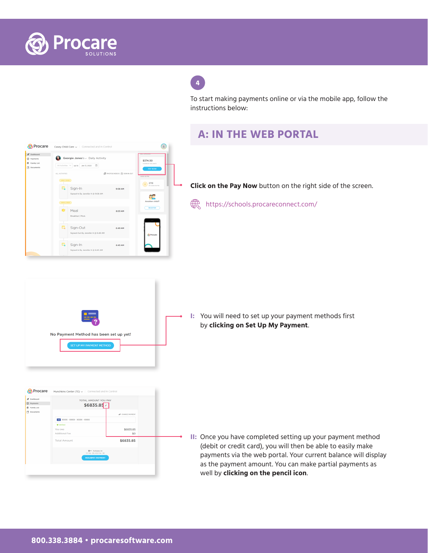

## **4**

To start making payments online or via the mobile app, follow the instructions below:



#### **A: IN THE WEB PORTAL**

**Click on the Pay Now** button on the right side of the screen.

[https://schools.procareconnect.com/](https://schools.procareconnect.com/login)



**I:** You will need to set up your payment methods first by **clicking on Set Up My Payment**.



**II:** Once you have completed setting up your payment method (debit or credit card), you will then be able to easily make payments via the web portal. Your current balance will display as the payment amount. You can make partial payments as well by **clicking on the pencil icon**.